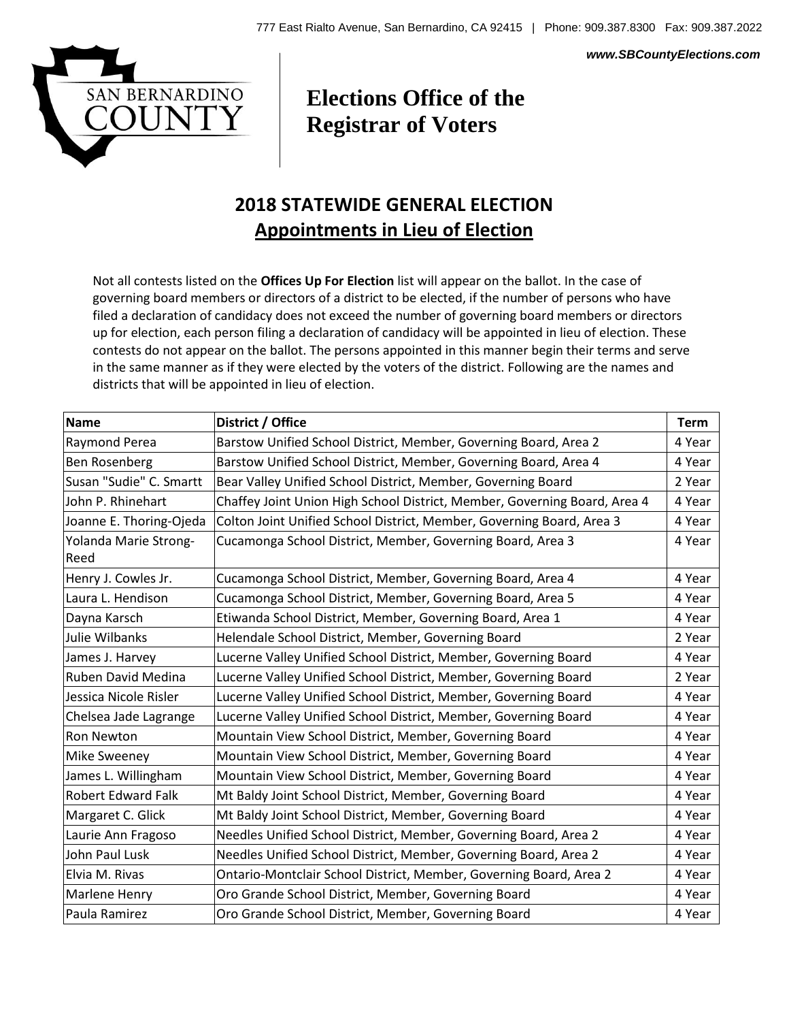*www.SBCountyElections.com*



## **Elections Office of the Registrar of Voters**

## **2018 STATEWIDE GENERAL ELECTION Appointments in Lieu of Election**

Not all contests listed on the **Offices Up For Election** list will appear on the ballot. In the case of governing board members or directors of a district to be elected, if the number of persons who have filed a declaration of candidacy does not exceed the number of governing board members or directors up for election, each person filing a declaration of candidacy will be appointed in lieu of election. These contests do not appear on the ballot. The persons appointed in this manner begin their terms and serve in the same manner as if they were elected by the voters of the district. Following are the names and districts that will be appointed in lieu of election.

| <b>Name</b>                   | District / Office                                                         | Term   |
|-------------------------------|---------------------------------------------------------------------------|--------|
| Raymond Perea                 | Barstow Unified School District, Member, Governing Board, Area 2          | 4 Year |
| <b>Ben Rosenberg</b>          | Barstow Unified School District, Member, Governing Board, Area 4          | 4 Year |
| Susan "Sudie" C. Smartt       | Bear Valley Unified School District, Member, Governing Board              | 2 Year |
| John P. Rhinehart             | Chaffey Joint Union High School District, Member, Governing Board, Area 4 | 4 Year |
| Joanne E. Thoring-Ojeda       | Colton Joint Unified School District, Member, Governing Board, Area 3     | 4 Year |
| Yolanda Marie Strong-<br>Reed | Cucamonga School District, Member, Governing Board, Area 3                | 4 Year |
| Henry J. Cowles Jr.           | Cucamonga School District, Member, Governing Board, Area 4                | 4 Year |
| Laura L. Hendison             | Cucamonga School District, Member, Governing Board, Area 5                | 4 Year |
| Dayna Karsch                  | Etiwanda School District, Member, Governing Board, Area 1                 | 4 Year |
| Julie Wilbanks                | Helendale School District, Member, Governing Board                        | 2 Year |
| James J. Harvey               | Lucerne Valley Unified School District, Member, Governing Board           | 4 Year |
| Ruben David Medina            | Lucerne Valley Unified School District, Member, Governing Board           | 2 Year |
| Jessica Nicole Risler         | Lucerne Valley Unified School District, Member, Governing Board           | 4 Year |
| Chelsea Jade Lagrange         | Lucerne Valley Unified School District, Member, Governing Board           | 4 Year |
| Ron Newton                    | Mountain View School District, Member, Governing Board                    | 4 Year |
| Mike Sweeney                  | Mountain View School District, Member, Governing Board                    | 4 Year |
| James L. Willingham           | Mountain View School District, Member, Governing Board                    | 4 Year |
| <b>Robert Edward Falk</b>     | Mt Baldy Joint School District, Member, Governing Board                   | 4 Year |
| Margaret C. Glick             | Mt Baldy Joint School District, Member, Governing Board                   | 4 Year |
| Laurie Ann Fragoso            | Needles Unified School District, Member, Governing Board, Area 2          | 4 Year |
| John Paul Lusk                | Needles Unified School District, Member, Governing Board, Area 2          | 4 Year |
| Elvia M. Rivas                | Ontario-Montclair School District, Member, Governing Board, Area 2        | 4 Year |
| Marlene Henry                 | Oro Grande School District, Member, Governing Board                       | 4 Year |
| Paula Ramirez                 | Oro Grande School District, Member, Governing Board                       | 4 Year |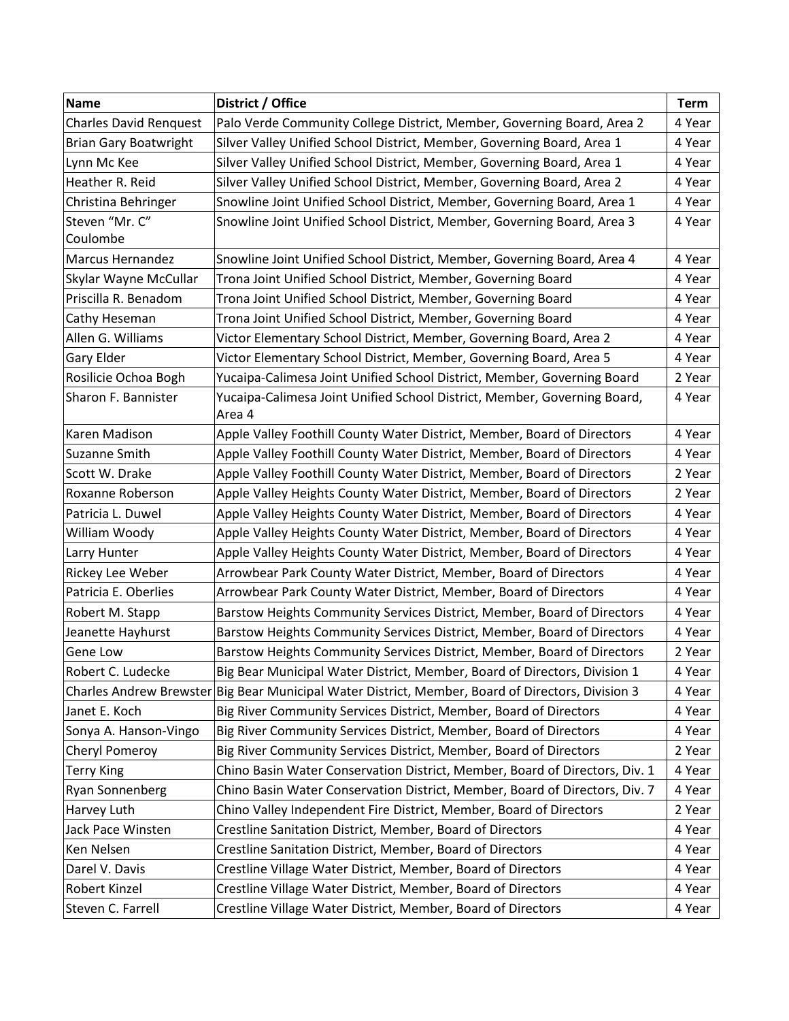| <b>Name</b>                   | District / Office                                                                                 | <b>Term</b> |
|-------------------------------|---------------------------------------------------------------------------------------------------|-------------|
| <b>Charles David Renquest</b> | Palo Verde Community College District, Member, Governing Board, Area 2                            | 4 Year      |
| <b>Brian Gary Boatwright</b>  | Silver Valley Unified School District, Member, Governing Board, Area 1                            | 4 Year      |
| Lynn Mc Kee                   | Silver Valley Unified School District, Member, Governing Board, Area 1                            | 4 Year      |
| Heather R. Reid               | Silver Valley Unified School District, Member, Governing Board, Area 2                            | 4 Year      |
| Christina Behringer           | Snowline Joint Unified School District, Member, Governing Board, Area 1                           | 4 Year      |
| Steven "Mr. C"                | Snowline Joint Unified School District, Member, Governing Board, Area 3                           | 4 Year      |
| Coulombe                      |                                                                                                   |             |
| <b>Marcus Hernandez</b>       | Snowline Joint Unified School District, Member, Governing Board, Area 4                           | 4 Year      |
| Skylar Wayne McCullar         | Trona Joint Unified School District, Member, Governing Board                                      | 4 Year      |
| Priscilla R. Benadom          | Trona Joint Unified School District, Member, Governing Board                                      | 4 Year      |
| Cathy Heseman                 | Trona Joint Unified School District, Member, Governing Board                                      | 4 Year      |
| Allen G. Williams             | Victor Elementary School District, Member, Governing Board, Area 2                                | 4 Year      |
| Gary Elder                    | Victor Elementary School District, Member, Governing Board, Area 5                                | 4 Year      |
| Rosilicie Ochoa Bogh          | Yucaipa-Calimesa Joint Unified School District, Member, Governing Board                           | 2 Year      |
| Sharon F. Bannister           | Yucaipa-Calimesa Joint Unified School District, Member, Governing Board,<br>Area 4                | 4 Year      |
| Karen Madison                 | Apple Valley Foothill County Water District, Member, Board of Directors                           | 4 Year      |
| Suzanne Smith                 | Apple Valley Foothill County Water District, Member, Board of Directors                           | 4 Year      |
| Scott W. Drake                | Apple Valley Foothill County Water District, Member, Board of Directors                           | 2 Year      |
| Roxanne Roberson              | Apple Valley Heights County Water District, Member, Board of Directors                            | 2 Year      |
| Patricia L. Duwel             | Apple Valley Heights County Water District, Member, Board of Directors                            | 4 Year      |
| William Woody                 | Apple Valley Heights County Water District, Member, Board of Directors                            | 4 Year      |
| Larry Hunter                  | Apple Valley Heights County Water District, Member, Board of Directors                            | 4 Year      |
| Rickey Lee Weber              | Arrowbear Park County Water District, Member, Board of Directors                                  | 4 Year      |
| Patricia E. Oberlies          | Arrowbear Park County Water District, Member, Board of Directors                                  | 4 Year      |
| Robert M. Stapp               | Barstow Heights Community Services District, Member, Board of Directors                           | 4 Year      |
| Jeanette Hayhurst             | Barstow Heights Community Services District, Member, Board of Directors                           | 4 Year      |
| Gene Low                      | Barstow Heights Community Services District, Member, Board of Directors                           | 2 Year      |
| Robert C. Ludecke             | Big Bear Municipal Water District, Member, Board of Directors, Division 1                         | 4 Year      |
|                               | Charles Andrew Brewster Big Bear Municipal Water District, Member, Board of Directors, Division 3 | 4 Year      |
| Janet E. Koch                 | Big River Community Services District, Member, Board of Directors                                 | 4 Year      |
| Sonya A. Hanson-Vingo         | Big River Community Services District, Member, Board of Directors                                 | 4 Year      |
| Cheryl Pomeroy                | Big River Community Services District, Member, Board of Directors                                 | 2 Year      |
| <b>Terry King</b>             | Chino Basin Water Conservation District, Member, Board of Directors, Div. 1                       | 4 Year      |
| Ryan Sonnenberg               | Chino Basin Water Conservation District, Member, Board of Directors, Div. 7                       | 4 Year      |
| Harvey Luth                   | Chino Valley Independent Fire District, Member, Board of Directors                                | 2 Year      |
| Jack Pace Winsten             | Crestline Sanitation District, Member, Board of Directors                                         | 4 Year      |
| Ken Nelsen                    | Crestline Sanitation District, Member, Board of Directors                                         | 4 Year      |
| Darel V. Davis                | Crestline Village Water District, Member, Board of Directors                                      | 4 Year      |
| Robert Kinzel                 | Crestline Village Water District, Member, Board of Directors                                      | 4 Year      |
| Steven C. Farrell             | Crestline Village Water District, Member, Board of Directors                                      | 4 Year      |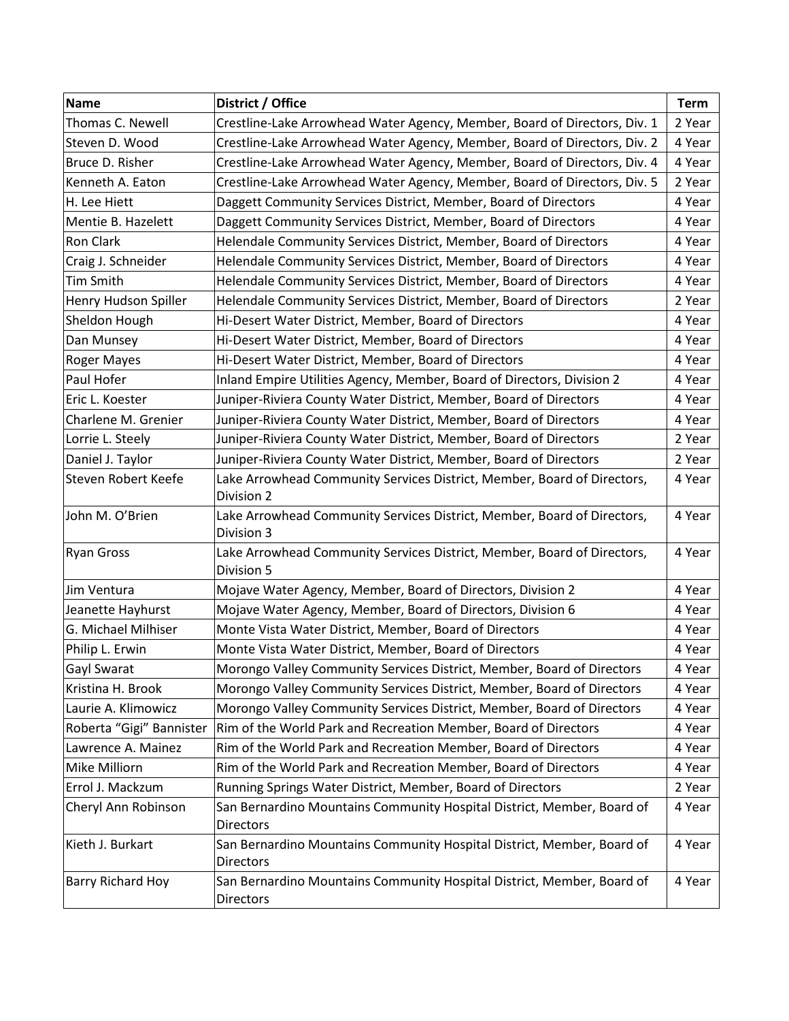| <b>Name</b>              | District / Office                                                                          | <b>Term</b> |
|--------------------------|--------------------------------------------------------------------------------------------|-------------|
| Thomas C. Newell         | Crestline-Lake Arrowhead Water Agency, Member, Board of Directors, Div. 1                  | 2 Year      |
| Steven D. Wood           | Crestline-Lake Arrowhead Water Agency, Member, Board of Directors, Div. 2                  | 4 Year      |
| Bruce D. Risher          | Crestline-Lake Arrowhead Water Agency, Member, Board of Directors, Div. 4                  | 4 Year      |
| Kenneth A. Eaton         | Crestline-Lake Arrowhead Water Agency, Member, Board of Directors, Div. 5                  | 2 Year      |
| H. Lee Hiett             | Daggett Community Services District, Member, Board of Directors                            | 4 Year      |
| Mentie B. Hazelett       | Daggett Community Services District, Member, Board of Directors                            | 4 Year      |
| Ron Clark                | Helendale Community Services District, Member, Board of Directors                          | 4 Year      |
| Craig J. Schneider       | Helendale Community Services District, Member, Board of Directors                          | 4 Year      |
| Tim Smith                | Helendale Community Services District, Member, Board of Directors                          | 4 Year      |
| Henry Hudson Spiller     | Helendale Community Services District, Member, Board of Directors                          | 2 Year      |
| Sheldon Hough            | Hi-Desert Water District, Member, Board of Directors                                       | 4 Year      |
| Dan Munsey               | Hi-Desert Water District, Member, Board of Directors                                       | 4 Year      |
| Roger Mayes              | Hi-Desert Water District, Member, Board of Directors                                       | 4 Year      |
| Paul Hofer               | Inland Empire Utilities Agency, Member, Board of Directors, Division 2                     | 4 Year      |
| Eric L. Koester          | Juniper-Riviera County Water District, Member, Board of Directors                          | 4 Year      |
| Charlene M. Grenier      | Juniper-Riviera County Water District, Member, Board of Directors                          | 4 Year      |
| Lorrie L. Steely         | Juniper-Riviera County Water District, Member, Board of Directors                          | 2 Year      |
| Daniel J. Taylor         | Juniper-Riviera County Water District, Member, Board of Directors                          | 2 Year      |
| Steven Robert Keefe      | Lake Arrowhead Community Services District, Member, Board of Directors,                    | 4 Year      |
| John M. O'Brien          | Division 2<br>Lake Arrowhead Community Services District, Member, Board of Directors,      | 4 Year      |
|                          | Division 3                                                                                 |             |
| <b>Ryan Gross</b>        | Lake Arrowhead Community Services District, Member, Board of Directors,<br>Division 5      | 4 Year      |
| Jim Ventura              | Mojave Water Agency, Member, Board of Directors, Division 2                                | 4 Year      |
| Jeanette Hayhurst        | Mojave Water Agency, Member, Board of Directors, Division 6                                | 4 Year      |
| G. Michael Milhiser      | Monte Vista Water District, Member, Board of Directors                                     | 4 Year      |
| Philip L. Erwin          | Monte Vista Water District, Member, Board of Directors                                     | 4 Year      |
| Gayl Swarat              | Morongo Valley Community Services District, Member, Board of Directors                     | 4 Year      |
| Kristina H. Brook        | Morongo Valley Community Services District, Member, Board of Directors                     | 4 Year      |
| Laurie A. Klimowicz      | Morongo Valley Community Services District, Member, Board of Directors                     | 4 Year      |
| Roberta "Gigi" Bannister | Rim of the World Park and Recreation Member, Board of Directors                            | 4 Year      |
| Lawrence A. Mainez       | Rim of the World Park and Recreation Member, Board of Directors                            | 4 Year      |
| Mike Milliorn            | Rim of the World Park and Recreation Member, Board of Directors                            | 4 Year      |
| Errol J. Mackzum         | Running Springs Water District, Member, Board of Directors                                 | 2 Year      |
| Cheryl Ann Robinson      | San Bernardino Mountains Community Hospital District, Member, Board of<br>Directors        | 4 Year      |
| Kieth J. Burkart         | San Bernardino Mountains Community Hospital District, Member, Board of<br><b>Directors</b> | 4 Year      |
| Barry Richard Hoy        | San Bernardino Mountains Community Hospital District, Member, Board of<br><b>Directors</b> | 4 Year      |